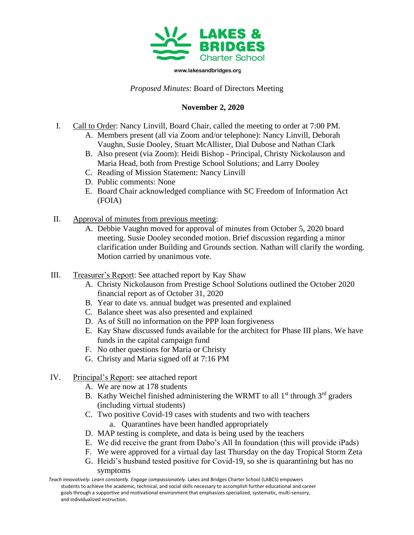

www.lakesandbridges.org

## *Proposed Minutes*: Board of Directors Meeting

## **November 2, 2020**

- I. Call to Order: Nancy Linvill, Board Chair, called the meeting to order at 7:00 PM.
	- A. Members present (all via Zoom and/or telephone): Nancy Linvill, Deborah Vaughn, Susie Dooley, Stuart McAllister, Dial Dubose and Nathan Clark
	- B. Also present (via Zoom): Heidi Bishop Principal, Christy Nickolauson and Maria Head, both from Prestige School Solutions; and Larry Dooley
	- C. Reading of Mission Statement: Nancy Linvill
	- D. Public comments: None
	- E. Board Chair acknowledged compliance with SC Freedom of Information Act (FOIA)
- II. Approval of minutes from previous meeting:
	- A. Debbie Vaughn moved for approval of minutes from October 5, 2020 board meeting. Susie Dooley seconded motion. Brief discussion regarding a minor clarification under Building and Grounds section. Nathan will clarify the wording. Motion carried by unanimous vote.
- III. Treasurer's Report: See attached report by Kay Shaw
	- A. Christy Nickolauson from Prestige School Solutions outlined the October 2020 financial report as of October 31, 2020
	- B. Year to date vs. annual budget was presented and explained
	- C. Balance sheet was also presented and explained
	- D. As of Still no information on the PPP loan forgiveness
	- E. Kay Shaw discussed funds available for the architect for Phase III plans. We have funds in the capital campaign fund
	- F. No other questions for Maria or Christy
	- G. Christy and Maria signed off at 7:16 PM
- IV. Principal's Report: see attached report
	- A. We are now at 178 students
	- B. Kathy Weichel finished administering the WRMT to all  $1<sup>st</sup>$  through  $3<sup>rd</sup>$  graders (including virtual students)
	- C. Two positive Covid-19 cases with students and two with teachers a. Quarantines have been handled appropriately
	- D. MAP testing is complete, and data is being used by the teachers
	- E. We did receive the grant from Dabo's All In foundation (this will provide iPads)
	- F. We were approved for a virtual day last Thursday on the day Tropical Storm Zeta
	- G. Heidi's husband tested positive for Covid-19, so she is quarantining but has no symptoms

Teach innovatively. Learn constantly. Engage compassionately. Lakes and Bridges Charter School (LABCS) empowers students to achieve the academic, technical, and social skills necessary to accomplish further educational and career goals through a supportive and motivational environment that emphasizes specialized, systematic, multi-sensory, and individualized instruction.